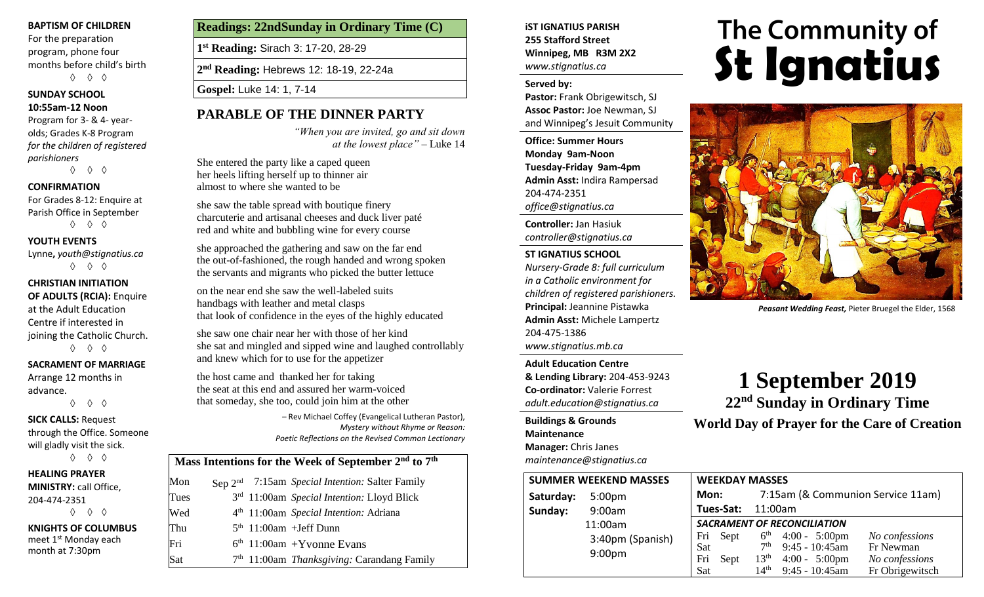#### **BAPTISM OF CHILDREN**

For the preparation program, phone four months before child's birth ◊ ◊ ◊

#### **SUNDAY SCHOOL**

#### **10:55am-12 Noon**

Program for 3- & 4- yearolds; Grades K-8 Program *for the children of registered parishioners*

◊ ◊ ◊

#### **CONFIRMATION**

For Grades 8-12: Enquire at Parish Office in September ◊ ◊ ◊

#### **YOUTH EVENTS**

Lynne**,** *youth@stignatius.ca* ◊ ◊ ◊

#### **CHRISTIAN INITIATION OF ADULTS (RCIA):** Enquire at the Adult Education

Centre if interested in joining the Catholic Church. ◊ ◊ ◊

#### **SACRAMENT OF MARRIAGE**

◊ ◊ ◊

Arrange 12 months in advance.

#### **SICK CALLS:** Request

through the Office. Someone will gladly visit the sick. ◊ ◊ ◊

**HEALING PRAYER** 

# **MINISTRY:** call Office,

204-474-2351 ◊ ◊ ◊

**KNIGHTS OF COLUMBUS** meet 1<sup>st</sup> Monday each month at 7:30pm

#### **Readings: 22ndSunday in Ordinary Time (C)**

**1 st Reading:** Sirach 3: 17-20, 28-29

**2 nd Reading:** Hebrews 12: 18-19, 22-24a

**Gospel:** Luke 14: 1, 7-14

#### **PARABLE OF THE DINNER PARTY**

*"When you are invited, go and sit down at the lowest place" –* Luke 14

She entered the party like a caped queen her heels lifting herself up to thinner air almost to where she wanted to be

she saw the table spread with boutique finery charcuterie and artisanal cheeses and duck liver paté red and white and bubbling wine for every course

she approached the gathering and saw on the far end the out-of-fashioned, the rough handed and wrong spoken the servants and migrants who picked the butter lettuce

on the near end she saw the well-labeled suits handbags with leather and metal clasps that look of confidence in the eyes of the highly educated

she saw one chair near her with those of her kind she sat and mingled and sipped wine and laughed controllably and knew which for to use for the appetizer

the host came and thanked her for taking the seat at this end and assured her warm-voiced that someday, she too, could join him at the other

> – Rev Michael Coffey (Evangelical Lutheran Pastor), *Mystery without Rhyme or Reason: Poetic Reflections on the Revised Common Lectionary*

#### **Mass Intentions for the Week of September 2nd to 7th**

| Mon  |  | Sep 2 <sup>nd</sup> 7:15am Special Intention: Salter Family |
|------|--|-------------------------------------------------------------|
| Tues |  | 3rd 11:00am Special Intention: Lloyd Blick                  |
| Wed  |  | 4 <sup>th</sup> 11:00am Special Intention: Adriana          |
| Thu  |  | $5th$ 11:00am +Jeff Dunn                                    |
| Fri  |  | $6th$ 11:00am +Yvonne Evans                                 |
| Sat  |  | 7 <sup>th</sup> 11:00am Thanksgiving: Carandang Family      |

#### **iST IGNATIUS PARISH 255 Stafford Street Winnipeg, MB R3M 2X2** *www.stignatius.ca*

#### **Served by:**

**Pastor:** Frank Obrigewitsch, SJ **Assoc Pastor:** Joe Newman, SJ and Winnipeg's Jesuit Community

**Office: Summer Hours Monday 9am-Noon Tuesday-Friday 9am-4pm Admin Asst:** Indira Rampersad 204-474-2351 *office@stignatius.ca*

**Controller:** Jan Hasiuk *controller@stignatius.ca*

#### **ST IGNATIUS SCHOOL**

*Nursery-Grade 8: full curriculum in a Catholic environment for children of registered parishioners.* **Principal:** Jeannine Pistawka **Admin Asst:** Michele Lampertz 204-475-1386 *www.stignatius.mb.ca*

**Adult Education Centre & Lending Library:** 204-453-9243 **Co-ordinator:** Valerie Forrest *adult.education@stignatius.ca*

**Buildings & Grounds Maintenance Manager:** Chris Janes *maintenance@stignatius.ca*

# The Community of<br>**St Ignatius**



*Peasant Wedding Feast,* Pieter Bruegel the Elder, 1568

# **1 September 2019**

**22 nd Sunday in Ordinary Time World Day of Prayer for the Care of Creation**

| <b>SUMMER WEEKEND MASSES</b>    |                    |                                    | <b>WEEKDAY MASSES</b> |                  |                                   |                 |  |  |
|---------------------------------|--------------------|------------------------------------|-----------------------|------------------|-----------------------------------|-----------------|--|--|
| Saturday:<br>5:00 <sub>pm</sub> |                    |                                    | Mon:                  |                  | 7:15am (& Communion Service 11am) |                 |  |  |
| Sunday:                         | 9:00am             | Tues-Sat:<br>11:00am               |                       |                  |                                   |                 |  |  |
|                                 | 11:00am            | <b>SACRAMENT OF RECONCILIATION</b> |                       |                  |                                   |                 |  |  |
|                                 | 3:40pm (Spanish)   | Fri                                | Sept                  |                  | $6^{th}$ 4:00 - 5:00pm            | No confessions  |  |  |
|                                 |                    | Sat                                |                       |                  | $7th$ 9:45 - 10:45am              | Fr Newman       |  |  |
|                                 | 9:00 <sub>pm</sub> | Fri                                | Sept                  | 13 <sup>th</sup> | $4:00 - 5:00 \text{pm}$           | No confessions  |  |  |
|                                 |                    | Sat                                |                       | $14^{\text{th}}$ | $9:45 - 10:45$ am                 | Fr Obrigewitsch |  |  |